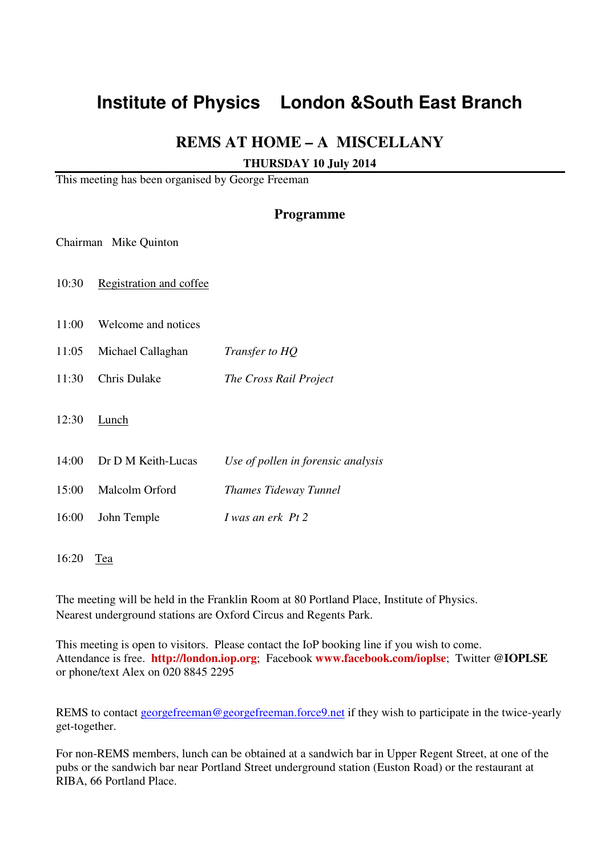# **Institute of Physics London &South East Branch**

### **REMS AT HOME – A MISCELLANY**

#### **THURSDAY 10 July 2014**

This meeting has been organised by George Freeman

#### **Programme**

Chairman Mike Quinton

10:30 Registration and coffee

11:00 Welcome and notices

11:05 Michael Callaghan *Transfer to HQ*

11:30 Chris Dulake *The Cross Rail Project* 

12:30 Lunch

14:00 Dr D M Keith-Lucas *Use of pollen in forensic analysis*

15:00 Malcolm Orford *Thames Tideway Tunnel*

16:00 John Temple *I was an erk Pt 2* 

16:20 Tea

The meeting will be held in the Franklin Room at 80 Portland Place, Institute of Physics. Nearest underground stations are Oxford Circus and Regents Park.

This meeting is open to visitors. Please contact the IoP booking line if you wish to come. Attendance is free. **http://london.iop.org**; Facebook **www.facebook.com/ioplse**; Twitter **@IOPLSE**  or phone/text Alex on 020 8845 2295

REMS to contact georgefreeman@georgefreeman.force9.net if they wish to participate in the twice-yearly get-together.

For non-REMS members, lunch can be obtained at a sandwich bar in Upper Regent Street, at one of the pubs or the sandwich bar near Portland Street underground station (Euston Road) or the restaurant at RIBA, 66 Portland Place.